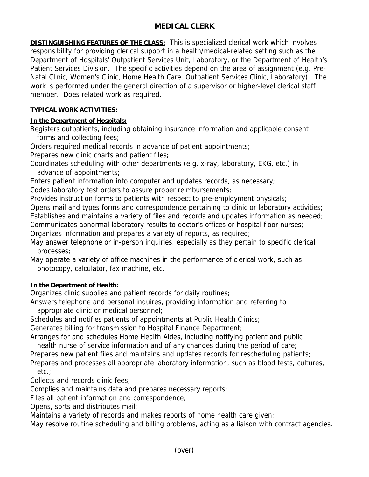# **MEDICAL CLERK**

**DISTINGUISHING FEATURES OF THE CLASS:** This is specialized clerical work which involves responsibility for providing clerical support in a health/medical-related setting such as the Department of Hospitals' Outpatient Services Unit, Laboratory, or the Department of Health's Patient Services Division. The specific activities depend on the area of assignment (e.g. Pre-Natal Clinic, Women's Clinic, Home Health Care, Outpatient Services Clinic, Laboratory). The work is performed under the general direction of a supervisor or higher-level clerical staff member. Does related work as required.

#### **TYPICAL WORK ACTIVITIES:**

## **In the Department of Hospitals:**

Registers outpatients, including obtaining insurance information and applicable consent forms and collecting fees;

Orders required medical records in advance of patient appointments;

Prepares new clinic charts and patient files;

Coordinates scheduling with other departments (e.g. x-ray, laboratory, EKG, etc.) in advance of appointments;

Enters patient information into computer and updates records, as necessary;

Codes laboratory test orders to assure proper reimbursements;

Provides instruction forms to patients with respect to pre-employment physicals;

Opens mail and types forms and correspondence pertaining to clinic or laboratory activities; Establishes and maintains a variety of files and records and updates information as needed; Communicates abnormal laboratory results to doctor's offices or hospital floor nurses;

Organizes information and prepares a variety of reports, as required;

May answer telephone or in-person inquiries, especially as they pertain to specific clerical processes;

May operate a variety of office machines in the performance of clerical work, such as photocopy, calculator, fax machine, etc.

## **In the Department of Health:**

Organizes clinic supplies and patient records for daily routines;

Answers telephone and personal inquires, providing information and referring to appropriate clinic or medical personnel;

Schedules and notifies patients of appointments at Public Health Clinics;

Generates billing for transmission to Hospital Finance Department;

Arranges for and schedules Home Health Aides, including notifying patient and public health nurse of service information and of any changes during the period of care;

Prepares new patient files and maintains and updates records for rescheduling patients;

Prepares and processes all appropriate laboratory information, such as blood tests, cultures, etc.;

Collects and records clinic fees;

Complies and maintains data and prepares necessary reports;

Files all patient information and correspondence;

Opens, sorts and distributes mail;

Maintains a variety of records and makes reports of home health care given;

May resolve routine scheduling and billing problems, acting as a liaison with contract agencies.